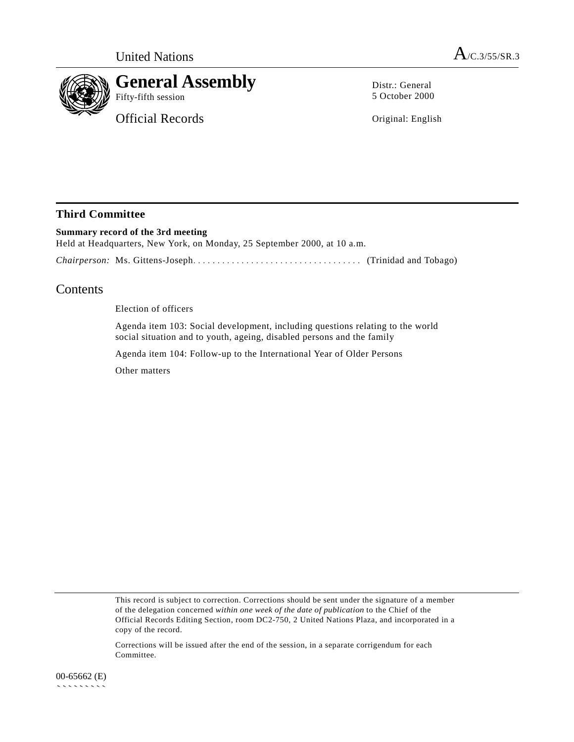

**General Assembly**

Official Records

Distr.: General 5 October 2000

Original: English

# **Third Committee**

**Summary record of the 3rd meeting** Held at Headquarters, New York, on Monday, 25 September 2000, at 10 a.m.

*Chairperson:* Ms. Gittens-Joseph................................... (Trinidad and Tobago)

# **Contents**

Election of officers

Agenda item 103: Social development, including questions relating to the world social situation and to youth, ageing, disabled persons and the family

Agenda item 104: Follow-up to the International Year of Older Persons

Other matters

This record is subject to correction. Corrections should be sent under the signature of a member of the delegation concerned *within one week of the date of publication* to the Chief of the Official Records Editing Section, room DC2-750, 2 United Nations Plaza, and incorporated in a copy of the record.

Corrections will be issued after the end of the session, in a separate corrigendum for each Committee.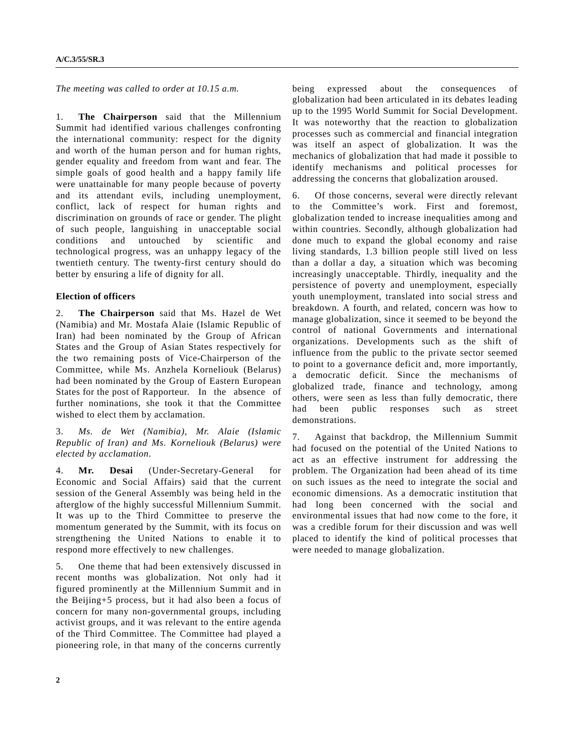*The meeting was called to order at 10.15 a.m.*

1. **The Chairperson** said that the Millennium Summit had identified various challenges confronting the international community: respect for the dignity and worth of the human person and for human rights, gender equality and freedom from want and fear. The simple goals of good health and a happy family life were unattainable for many people because of poverty and its attendant evils, including unemployment, conflict, lack of respect for human rights and discrimination on grounds of race or gender. The plight of such people, languishing in unacceptable social conditions and untouched by scientific and technological progress, was an unhappy legacy of the twentieth century. The twenty-first century should do better by ensuring a life of dignity for all.

#### **Election of officers**

2. **The Chairperson** said that Ms. Hazel de Wet (Namibia) and Mr. Mostafa Alaie (Islamic Republic of Iran) had been nominated by the Group of African States and the Group of Asian States respectively for the two remaining posts of Vice-Chairperson of the Committee, while Ms. Anzhela Korneliouk (Belarus) had been nominated by the Group of Eastern European States for the post of Rapporteur. In the absence of further nominations, she took it that the Committee wished to elect them by acclamation.

3. *Ms. de Wet (Namibia), Mr. Alaie (Islamic Republic of Iran) and Ms. Korneliouk (Belarus) were elected by acclamation*.

4. **Mr. Desai** (Under-Secretary-General for Economic and Social Affairs) said that the current session of the General Assembly was being held in the afterglow of the highly successful Millennium Summit. It was up to the Third Committee to preserve the momentum generated by the Summit, with its focus on strengthening the United Nations to enable it to respond more effectively to new challenges.

5. One theme that had been extensively discussed in recent months was globalization. Not only had it figured prominently at the Millennium Summit and in the Beijing+5 process, but it had also been a focus of concern for many non-governmental groups, including activist groups, and it was relevant to the entire agenda of the Third Committee. The Committee had played a pioneering role, in that many of the concerns currently

being expressed about the consequences of globalization had been articulated in its debates leading up to the 1995 World Summit for Social Development. It was noteworthy that the reaction to globalization processes such as commercial and financial integration was itself an aspect of globalization. It was the mechanics of globalization that had made it possible to identify mechanisms and political processes for addressing the concerns that globalization aroused.

6. Of those concerns, several were directly relevant to the Committee's work. First and foremost, globalization tended to increase inequalities among and within countries. Secondly, although globalization had done much to expand the global economy and raise living standards, 1.3 billion people still lived on less than a dollar a day, a situation which was becoming increasingly unacceptable. Thirdly, inequality and the persistence of poverty and unemployment, especially youth unemployment, translated into social stress and breakdown. A fourth, and related, concern was how to manage globalization, since it seemed to be beyond the control of national Governments and international organizations. Developments such as the shift of influence from the public to the private sector seemed to point to a governance deficit and, more importantly, a democratic deficit. Since the mechanisms of globalized trade, finance and technology, among others, were seen as less than fully democratic, there had been public responses such as street demonstrations.

7. Against that backdrop, the Millennium Summit had focused on the potential of the United Nations to act as an effective instrument for addressing the problem. The Organization had been ahead of its time on such issues as the need to integrate the social and economic dimensions. As a democratic institution that had long been concerned with the social and environmental issues that had now come to the fore, it was a credible forum for their discussion and was well placed to identify the kind of political processes that were needed to manage globalization.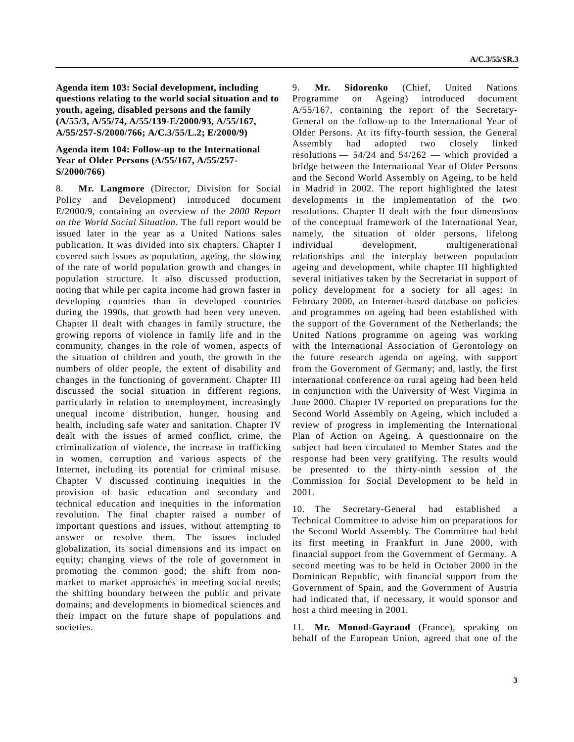**Agenda item 103: Social development, including questions relating to the world social situation and to youth, ageing, disabled persons and the family (A/55/3, A/55/74, A/55/139-E/2000/93, A/55/167, A/55/257-S/2000/766; A/C.3/55/L.2; E/2000/9)**

### **Agenda item 104: Follow-up to the International Year of Older Persons (A/55/167, A/55/257- S/2000/766)**

8. **Mr. Langmore** (Director, Division for Social Policy and Development) introduced document E/2000/9, containing an overview of the *2000 Report on the World Social Situation*. The full report would be issued later in the year as a United Nations sales publication. It was divided into six chapters. Chapter I covered such issues as population, ageing, the slowing of the rate of world population growth and changes in population structure. It also discussed production, noting that while per capita income had grown faster in developing countries than in developed countries during the 1990s, that growth had been very uneven. Chapter II dealt with changes in family structure, the growing reports of violence in family life and in the community, changes in the role of women, aspects of the situation of children and youth, the growth in the numbers of older people, the extent of disability and changes in the functioning of government. Chapter III discussed the social situation in different regions, particularly in relation to unemployment, increasingly unequal income distribution, hunger, housing and health, including safe water and sanitation. Chapter IV dealt with the issues of armed conflict, crime, the criminalization of violence, the increase in trafficking in women, corruption and various aspects of the Internet, including its potential for criminal misuse. Chapter V discussed continuing inequities in the provision of basic education and secondary and technical education and inequities in the information revolution. The final chapter raised a number of important questions and issues, without attempting to answer or resolve them. The issues included globalization, its social dimensions and its impact on equity; changing views of the role of government in promoting the common good; the shift from nonmarket to market approaches in meeting social needs; the shifting boundary between the public and private domains; and developments in biomedical sciences and their impact on the future shape of populations and societies.

9. **Mr. Sidorenko** (Chief, United Nations Programme on Ageing) introduced document A/55/167, containing the report of the Secretary-General on the follow-up to the International Year of Older Persons. At its fifty-fourth session, the General Assembly had adopted two closely linked resolutions  $-$  54/24 and 54/262  $-$  which provided a bridge between the International Year of Older Persons and the Second World Assembly on Ageing, to be held in Madrid in 2002. The report highlighted the latest developments in the implementation of the two resolutions. Chapter II dealt with the four dimensions of the conceptual framework of the International Year, namely, the situation of older persons, lifelong individual development, multigenerational relationships and the interplay between population ageing and development, while chapter III highlighted several initiatives taken by the Secretariat in support of policy development for a society for all ages: in February 2000, an Internet-based database on policies and programmes on ageing had been established with the support of the Government of the Netherlands; the United Nations programme on ageing was working with the International Association of Gerontology on the future research agenda on ageing, with support from the Government of Germany; and, lastly, the first international conference on rural ageing had been held in conjunction with the University of West Virginia in June 2000. Chapter IV reported on preparations for the Second World Assembly on Ageing, which included a review of progress in implementing the International Plan of Action on Ageing. A questionnaire on the subject had been circulated to Member States and the response had been very gratifying. The results would be presented to the thirty-ninth session of the Commission for Social Development to be held in 2001.

10. The Secretary-General had established a Technical Committee to advise him on preparations for the Second World Assembly. The Committee had held its first meeting in Frankfurt in June 2000, with financial support from the Government of Germany. A second meeting was to be held in October 2000 in the Dominican Republic, with financial support from the Government of Spain, and the Government of Austria had indicated that, if necessary, it would sponsor and host a third meeting in 2001.

11. **Mr. Monod-Gayraud** (France), speaking on behalf of the European Union, agreed that one of the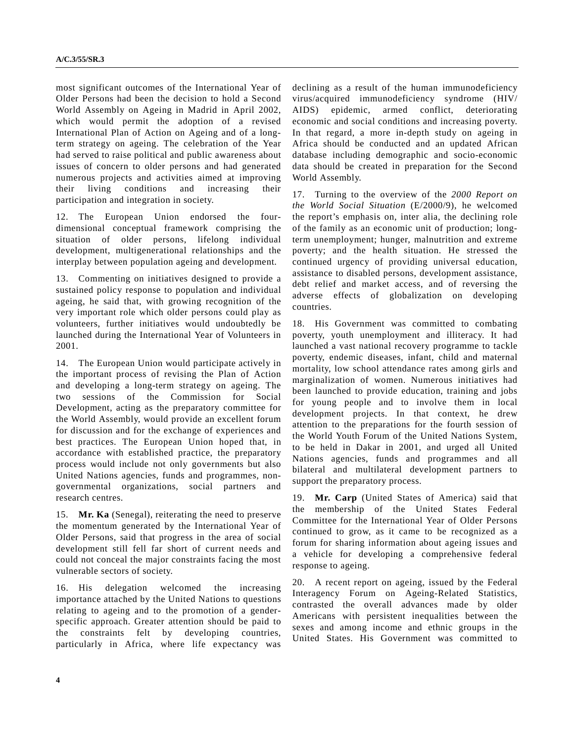most significant outcomes of the International Year of Older Persons had been the decision to hold a Second World Assembly on Ageing in Madrid in April 2002, which would permit the adoption of a revised International Plan of Action on Ageing and of a longterm strategy on ageing. The celebration of the Year had served to raise political and public awareness about issues of concern to older persons and had generated numerous projects and activities aimed at improving their living conditions and increasing their participation and integration in society.

12. The European Union endorsed the fourdimensional conceptual framework comprising the situation of older persons, lifelong individual development, multigenerational relationships and the interplay between population ageing and development.

13. Commenting on initiatives designed to provide a sustained policy response to population and individual ageing, he said that, with growing recognition of the very important role which older persons could play as volunteers, further initiatives would undoubtedly be launched during the International Year of Volunteers in 2001.

14. The European Union would participate actively in the important process of revising the Plan of Action and developing a long-term strategy on ageing. The two sessions of the Commission for Social Development, acting as the preparatory committee for the World Assembly, would provide an excellent forum for discussion and for the exchange of experiences and best practices. The European Union hoped that, in accordance with established practice, the preparatory process would include not only governments but also United Nations agencies, funds and programmes, nongovernmental organizations, social partners and research centres.

15. **Mr. Ka** (Senegal), reiterating the need to preserve the momentum generated by the International Year of Older Persons, said that progress in the area of social development still fell far short of current needs and could not conceal the major constraints facing the most vulnerable sectors of society.

16. His delegation welcomed the increasing importance attached by the United Nations to questions relating to ageing and to the promotion of a genderspecific approach. Greater attention should be paid to the constraints felt by developing countries, particularly in Africa, where life expectancy was declining as a result of the human immunodeficiency virus/acquired immunodeficiency syndrome (HIV/ AIDS) epidemic, armed conflict, deteriorating economic and social conditions and increasing poverty. In that regard, a more in-depth study on ageing in Africa should be conducted and an updated African database including demographic and socio-economic data should be created in preparation for the Second World Assembly.

17. Turning to the overview of the *2000 Report on the World Social Situation* (E/2000/9), he welcomed the report's emphasis on, inter alia, the declining role of the family as an economic unit of production; longterm unemployment; hunger, malnutrition and extreme poverty; and the health situation. He stressed the continued urgency of providing universal education, assistance to disabled persons, development assistance, debt relief and market access, and of reversing the adverse effects of globalization on developing countries.

18. His Government was committed to combating poverty, youth unemployment and illiteracy. It had launched a vast national recovery programme to tackle poverty, endemic diseases, infant, child and maternal mortality, low school attendance rates among girls and marginalization of women. Numerous initiatives had been launched to provide education, training and jobs for young people and to involve them in local development projects. In that context, he drew attention to the preparations for the fourth session of the World Youth Forum of the United Nations System, to be held in Dakar in 2001, and urged all United Nations agencies, funds and programmes and all bilateral and multilateral development partners to support the preparatory process.

19. **Mr. Carp** (United States of America) said that the membership of the United States Federal Committee for the International Year of Older Persons continued to grow, as it came to be recognized as a forum for sharing information about ageing issues and a vehicle for developing a comprehensive federal response to ageing.

20. A recent report on ageing, issued by the Federal Interagency Forum on Ageing-Related Statistics, contrasted the overall advances made by older Americans with persistent inequalities between the sexes and among income and ethnic groups in the United States. His Government was committed to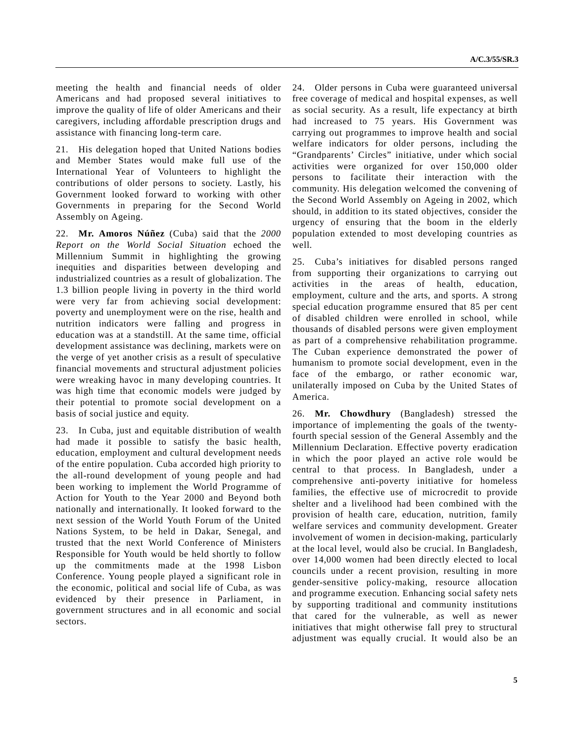meeting the health and financial needs of older Americans and had proposed several initiatives to improve the quality of life of older Americans and their caregivers, including affordable prescription drugs and assistance with financing long-term care.

21. His delegation hoped that United Nations bodies and Member States would make full use of the International Year of Volunteers to highlight the contributions of older persons to society. Lastly, his Government looked forward to working with other Governments in preparing for the Second World Assembly on Ageing.

22. **Mr. Amoros Núñez** (Cuba) said that the *2000 Report on the World Social Situation* echoed the Millennium Summit in highlighting the growing inequities and disparities between developing and industrialized countries as a result of globalization. The 1.3 billion people living in poverty in the third world were very far from achieving social development: poverty and unemployment were on the rise, health and nutrition indicators were falling and progress in education was at a standstill. At the same time, official development assistance was declining, markets were on the verge of yet another crisis as a result of speculative financial movements and structural adjustment policies were wreaking havoc in many developing countries. It was high time that economic models were judged by their potential to promote social development on a basis of social justice and equity.

23. In Cuba, just and equitable distribution of wealth had made it possible to satisfy the basic health, education, employment and cultural development needs of the entire population. Cuba accorded high priority to the all-round development of young people and had been working to implement the World Programme of Action for Youth to the Year 2000 and Beyond both nationally and internationally. It looked forward to the next session of the World Youth Forum of the United Nations System, to be held in Dakar, Senegal, and trusted that the next World Conference of Ministers Responsible for Youth would be held shortly to follow up the commitments made at the 1998 Lisbon Conference. Young people played a significant role in the economic, political and social life of Cuba, as was evidenced by their presence in Parliament, in government structures and in all economic and social sectors.

24. Older persons in Cuba were guaranteed universal free coverage of medical and hospital expenses, as well as social security. As a result, life expectancy at birth had increased to 75 years. His Government was carrying out programmes to improve health and social welfare indicators for older persons, including the "Grandparents' Circles" initiative, under which social activities were organized for over 150,000 older persons to facilitate their interaction with the community. His delegation welcomed the convening of the Second World Assembly on Ageing in 2002, which should, in addition to its stated objectives, consider the urgency of ensuring that the boom in the elderly population extended to most developing countries as well.

25. Cuba's initiatives for disabled persons ranged from supporting their organizations to carrying out activities in the areas of health, education, employment, culture and the arts, and sports. A strong special education programme ensured that 85 per cent of disabled children were enrolled in school, while thousands of disabled persons were given employment as part of a comprehensive rehabilitation programme. The Cuban experience demonstrated the power of humanism to promote social development, even in the face of the embargo, or rather economic war, unilaterally imposed on Cuba by the United States of America.

26. **Mr. Chowdhury** (Bangladesh) stressed the importance of implementing the goals of the twentyfourth special session of the General Assembly and the Millennium Declaration. Effective poverty eradication in which the poor played an active role would be central to that process. In Bangladesh, under a comprehensive anti-poverty initiative for homeless families, the effective use of microcredit to provide shelter and a livelihood had been combined with the provision of health care, education, nutrition, family welfare services and community development. Greater involvement of women in decision-making, particularly at the local level, would also be crucial. In Bangladesh, over 14,000 women had been directly elected to local councils under a recent provision, resulting in more gender-sensitive policy-making, resource allocation and programme execution. Enhancing social safety nets by supporting traditional and community institutions that cared for the vulnerable, as well as newer initiatives that might otherwise fall prey to structural adjustment was equally crucial. It would also be an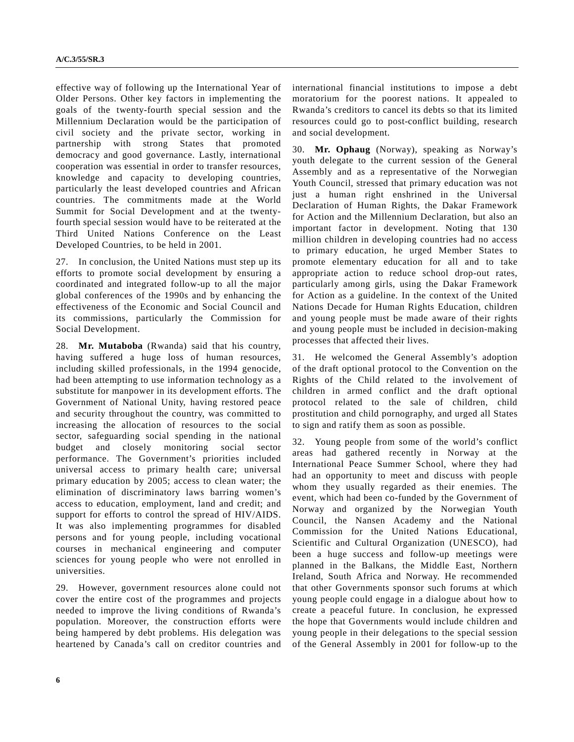effective way of following up the International Year of Older Persons. Other key factors in implementing the goals of the twenty-fourth special session and the Millennium Declaration would be the participation of civil society and the private sector, working in partnership with strong States that promoted democracy and good governance. Lastly, international cooperation was essential in order to transfer resources, knowledge and capacity to developing countries, particularly the least developed countries and African countries. The commitments made at the World Summit for Social Development and at the twentyfourth special session would have to be reiterated at the Third United Nations Conference on the Least Developed Countries, to be held in 2001.

27. In conclusion, the United Nations must step up its efforts to promote social development by ensuring a coordinated and integrated follow-up to all the major global conferences of the 1990s and by enhancing the effectiveness of the Economic and Social Council and its commissions, particularly the Commission for Social Development.

28. **Mr. Mutaboba** (Rwanda) said that his country, having suffered a huge loss of human resources, including skilled professionals, in the 1994 genocide, had been attempting to use information technology as a substitute for manpower in its development efforts. The Government of National Unity, having restored peace and security throughout the country, was committed to increasing the allocation of resources to the social sector, safeguarding social spending in the national budget and closely monitoring social sector performance. The Government's priorities included universal access to primary health care; universal primary education by 2005; access to clean water; the elimination of discriminatory laws barring women's access to education, employment, land and credit; and support for efforts to control the spread of HIV/AIDS. It was also implementing programmes for disabled persons and for young people, including vocational courses in mechanical engineering and computer sciences for young people who were not enrolled in universities.

29. However, government resources alone could not cover the entire cost of the programmes and projects needed to improve the living conditions of Rwanda's population. Moreover, the construction efforts were being hampered by debt problems. His delegation was heartened by Canada's call on creditor countries and international financial institutions to impose a debt moratorium for the poorest nations. It appealed to Rwanda's creditors to cancel its debts so that its limited resources could go to post-conflict building, research and social development.

30. **Mr. Ophaug** (Norway), speaking as Norway's youth delegate to the current session of the General Assembly and as a representative of the Norwegian Youth Council, stressed that primary education was not just a human right enshrined in the Universal Declaration of Human Rights, the Dakar Framework for Action and the Millennium Declaration, but also an important factor in development. Noting that 130 million children in developing countries had no access to primary education, he urged Member States to promote elementary education for all and to take appropriate action to reduce school drop-out rates, particularly among girls, using the Dakar Framework for Action as a guideline. In the context of the United Nations Decade for Human Rights Education, children and young people must be made aware of their rights and young people must be included in decision-making processes that affected their lives.

31. He welcomed the General Assembly's adoption of the draft optional protocol to the Convention on the Rights of the Child related to the involvement of children in armed conflict and the draft optional protocol related to the sale of children, child prostitution and child pornography, and urged all States to sign and ratify them as soon as possible.

32. Young people from some of the world's conflict areas had gathered recently in Norway at the International Peace Summer School, where they had had an opportunity to meet and discuss with people whom they usually regarded as their enemies. The event, which had been co-funded by the Government of Norway and organized by the Norwegian Youth Council, the Nansen Academy and the National Commission for the United Nations Educational, Scientific and Cultural Organization (UNESCO), had been a huge success and follow-up meetings were planned in the Balkans, the Middle East, Northern Ireland, South Africa and Norway. He recommended that other Governments sponsor such forums at which young people could engage in a dialogue about how to create a peaceful future. In conclusion, he expressed the hope that Governments would include children and young people in their delegations to the special session of the General Assembly in 2001 for follow-up to the